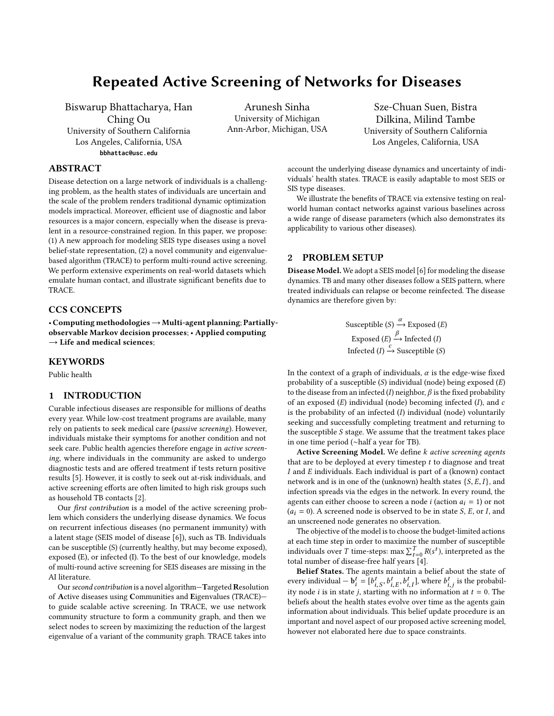## Repeated Active Screening of Networks for Diseases

Biswarup Bhattacharya, Han Ching Ou University of Southern California Los Angeles, California, USA **bbhattac@usc.edu**

Arunesh Sinha University of Michigan Ann-Arbor, Michigan, USA

Sze-Chuan Suen, Bistra Dilkina, Milind Tambe University of Southern California Los Angeles, California, USA

## ABSTRACT

Disease detection on a large network of individuals is a challenging problem, as the health states of individuals are uncertain and the scale of the problem renders traditional dynamic optimization models impractical. Moreover, efficient use of diagnostic and labor resources is a major concern, especially when the disease is prevalent in a resource-constrained region. In this paper, we propose: (1) A new approach for modeling SEIS type diseases using a novel belief-state representation, (2) a novel community and eigenvaluebased algorithm (TRACE) to perform multi-round active screening. We perform extensive experiments on real-world datasets which emulate human contact, and illustrate significant benefits due to TRACE.

## CCS CONCEPTS

• Computing methodologies→Multi-agent planning; Partiallyobservable Markov decision processes; • Applied computing  $\rightarrow$  Life and medical sciences;

#### **KEYWORDS**

Public health

#### 1 INTRODUCTION

Curable infectious diseases are responsible for millions of deaths every year. While low-cost treatment programs are available, many rely on patients to seek medical care (passive screening). However, individuals mistake their symptoms for another condition and not seek care. Public health agencies therefore engage in active screening, where individuals in the community are asked to undergo diagnostic tests and are offered treatment if tests return positive results [\[5\]](#page-1-0). However, it is costly to seek out at-risk individuals, and active screening efforts are often limited to high risk groups such as household TB contacts [\[2\]](#page-1-1).

Our first contribution is a model of the active screening problem which considers the underlying disease dynamics. We focus on recurrent infectious diseases (no permanent immunity) with a latent stage (SEIS model of disease [\[6\]](#page-1-2)), such as TB. Individuals can be susceptible (S) (currently healthy, but may become exposed), exposed (E), or infected (I). To the best of our knowledge, models of multi-round active screening for SEIS diseases are missing in the AI literature.

Our second contribution is a novel algorithm-Targeted Resolution of Active diseases using Communities and Eigenvalues (TRACE) to guide scalable active screening. In TRACE, we use network community structure to form a community graph, and then we select nodes to screen by maximizing the reduction of the largest eigenvalue of a variant of the community graph. TRACE takes into

account the underlying disease dynamics and uncertainty of individuals' health states. TRACE is easily adaptable to most SEIS or SIS type diseases.

We illustrate the benefits of TRACE via extensive testing on realworld human contact networks against various baselines across a wide range of disease parameters (which also demonstrates its applicability to various other diseases).

### 2 PROBLEM SETUP

Disease Model. We adopt a SEIS model [\[6\]](#page-1-2) for modeling the disease dynamics. TB and many other diseases follow a SEIS pattern, where treated individuals can relapse or become reinfected. The disease dynamics are therefore given by:

> Susceptible  $(S) \xrightarrow[\beta]{\alpha}$  Exposed  $(E)$ Exposed  $(E) \xrightarrow{f}$  Infected  $(I)$ Infected  $(I) \xrightarrow{c}$  Susceptible  $(S)$

In the context of a graph of individuals,  $\alpha$  is the edge-wise fixed probability of a susceptible  $(S)$  individual (node) being exposed  $(E)$ to the disease from an infected (I) neighbor,  $\beta$  is the fixed probability of an exposed  $(E)$  individual (node) becoming infected  $(I)$ , and  $c$ is the probability of an infected  $(I)$  individual (node) voluntarily seeking and successfully completing treatment and returning to the susceptible S stage. We assume that the treatment takes place in one time period (∼half a year for TB).

Active Screening Model. We define k active screening agents that are to be deployed at every timestep  $t$  to diagnose and treat I and E individuals. Each individual is part of a (known) contact network and is in one of the (unknown) health states  $\{S, E, I\}$ , and infection spreads via the edges in the network. In every round, the agents can either choose to screen a node *i* (action  $a_i = 1$ ) or not  $(a<sub>i</sub> = 0)$ . A screened node is observed to be in state *S*, *E*, or *I*, and an unscreened node generates no observation.

The objective of the model is to choose the budget-limited actions at each time step in order to maximize the number of susceptible individuals over T time-steps:  $\max \sum_{t=0}^{T} R(s^t)$ , interpreted as the total number of discass-free half vears [4] total number of disease-free half years [\[4\]](#page-1-3).

Belief States. The agents maintain a belief about the state of every individual  $-b_i^t = [b_{i,S}^t, b_{i,I}^t]$ , where  $b_{i,j}^t$  is the probabil-<br>its node i.i.e. in etate i. etasting with no information at  $t = 0$ . The Every individual  $-\mathbf{b}_i - [\nu_{i,S}, \nu_{i,E}, \nu_{i,I}],$  where  $\nu_{i,j}$  is the probability node *i* is in state *j*, starting with no information at  $t = 0$ . The heliafs about the health states evolve over time as the agents gain beliefs about the health states evolve over time as the agents gain information about individuals. This belief update procedure is an important and novel aspect of our proposed active screening model, however not elaborated here due to space constraints.